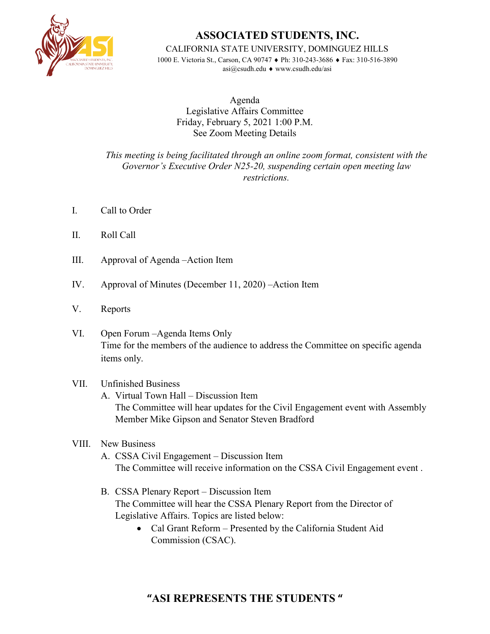

## **ASSOCIATED STUDENTS, INC.**

CALIFORNIA STATE UNIVERSITY, DOMINGUEZ HILLS

1000 E. Victoria St., Carson, CA 90747 ♦ Ph: 310-243-3686 ♦ Fax: 310-516-3890 asi@csudh.edu ♦ www.csudh.edu/asi

Agenda Legislative Affairs Committee Friday, February 5, 2021 1:00 P.M. See Zoom Meeting Details

*This meeting is being facilitated through an online zoom format, consistent with the Governor's Executive Order N25-20, suspending certain open meeting law restrictions.*

- I. Call to Order
- II. Roll Call
- III. Approval of Agenda –Action Item
- IV. Approval of Minutes (December 11, 2020) –Action Item
- V. Reports
- VI. Open Forum –Agenda Items Only Time for the members of the audience to address the Committee on specific agenda items only.

## VII. Unfinished Business

A. Virtual Town Hall – Discussion Item The Committee will hear updates for the Civil Engagement event with Assembly Member Mike Gipson and Senator Steven Bradford

## VIII. New Business

- A. CSSA Civil Engagement Discussion Item The Committee will receive information on the CSSA Civil Engagement event .
- B. CSSA Plenary Report Discussion Item The Committee will hear the CSSA Plenary Report from the Director of Legislative Affairs. Topics are listed below:
	- Cal Grant Reform Presented by the California Student Aid Commission (CSAC).

## **"ASI REPRESENTS THE STUDENTS "**